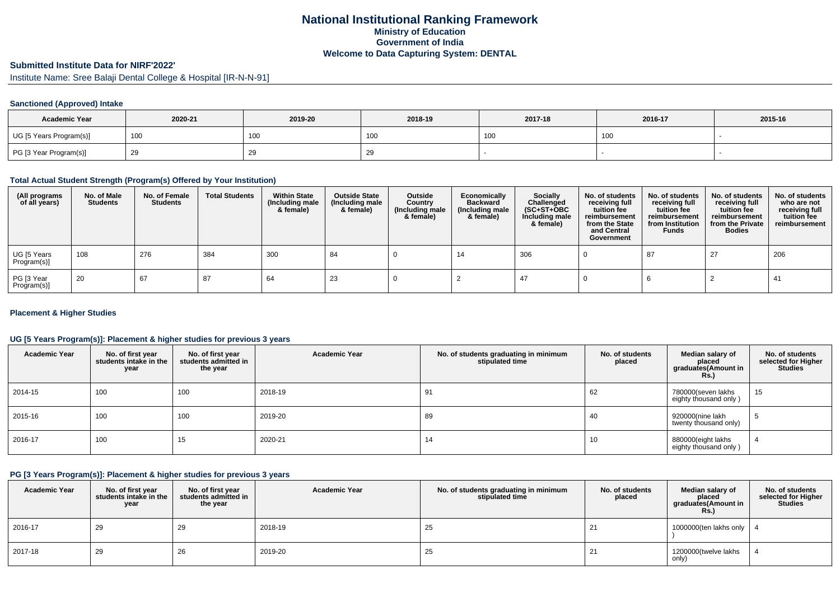## **National Institutional Ranking FrameworkMinistry of Education Government of IndiaWelcome to Data Capturing System: DENTAL**

# **Submitted Institute Data for NIRF'2022'**

Institute Name: Sree Balaji Dental College & Hospital [IR-N-N-91]

### **Sanctioned (Approved) Intake**

| <b>Academic Year</b>    | 2020-21 | 2019-20         | 2018-19 | 2017-18 | 2016-17 | 2015-16 |
|-------------------------|---------|-----------------|---------|---------|---------|---------|
| UG [5 Years Program(s)] | 100     | 10 <sub>C</sub> | , UU    | 100     | 100     |         |
| PG [3 Year Program(s)]  |         | 29              | - 25    |         |         |         |

### **Total Actual Student Strength (Program(s) Offered by Your Institution)**

| (All programs<br>of all years) | No. of Male<br><b>Students</b> | No. of Female<br><b>Students</b> | <b>Total Students</b> | <b>Within State</b><br>(Including male<br>& female) | <b>Outside State</b><br>(Including male<br>& female) | Outside<br>Country<br>(Including male<br>& female) | Economically<br><b>Backward</b><br>(Including male<br>& female) | <b>Socially</b><br>Challenged<br>$(SC+ST+OBC)$<br>Including male<br>& female) | No. of students<br>receiving full<br>tuition fee<br>reimbursement<br>from the State<br>and Central<br>Government | No. of students<br>receiving full<br>tuition fee<br>reimbursement<br>from Institution<br><b>Funds</b> | No. of students<br>receiving full<br>tuition fee<br>reimbursement<br>from the Private<br><b>Bodies</b> | No. of students<br>who are not<br>receiving full<br>tuition fee<br>reimbursement |
|--------------------------------|--------------------------------|----------------------------------|-----------------------|-----------------------------------------------------|------------------------------------------------------|----------------------------------------------------|-----------------------------------------------------------------|-------------------------------------------------------------------------------|------------------------------------------------------------------------------------------------------------------|-------------------------------------------------------------------------------------------------------|--------------------------------------------------------------------------------------------------------|----------------------------------------------------------------------------------|
| UG [5 Years<br>Program(s)]     | 108                            | 276                              | 384                   | 300                                                 | 84                                                   |                                                    | 14                                                              | 306                                                                           |                                                                                                                  | 87                                                                                                    | 27                                                                                                     | 206                                                                              |
| PG [3 Year<br>Program(s)]      | 20                             | 67                               | 87                    | 64                                                  | 23                                                   |                                                    |                                                                 | -47                                                                           |                                                                                                                  |                                                                                                       |                                                                                                        | -41                                                                              |

#### **Placement & Higher Studies**

#### **UG [5 Years Program(s)]: Placement & higher studies for previous 3 years**

| <b>Academic Year</b> | No. of first year<br>students intake in the<br>year | No. of first vear<br>students admitted in<br>the year | <b>Academic Year</b> | No. of students graduating in minimum<br>stipulated time | No. of students<br>placed | Median salary of<br>placed<br>graduates(Amount in<br><b>Rs.</b> ) | No. of students<br>selected for Higher<br><b>Studies</b> |
|----------------------|-----------------------------------------------------|-------------------------------------------------------|----------------------|----------------------------------------------------------|---------------------------|-------------------------------------------------------------------|----------------------------------------------------------|
| 2014-15              | 100                                                 | 100                                                   | 2018-19              | 91                                                       | 62                        | 780000(seven lakhs<br>eighty thousand only)                       | 15                                                       |
| 2015-16              | 100                                                 | 100                                                   | 2019-20              | 89                                                       | 40                        | 920000(nine lakh<br>twenty thousand only)                         | Ð                                                        |
| 2016-17              | 100                                                 | 15                                                    | 2020-21              | 14                                                       | 10                        | 880000(eight lakhs<br>eighty thousand only)                       |                                                          |

#### **PG [3 Years Program(s)]: Placement & higher studies for previous 3 years**

| <b>Academic Year</b> | No. of first year<br>students intake in the<br>year | No. of first year<br>students admitted in<br>the year | <b>Academic Year</b> | No. of students graduating in minimum<br>stipulated time | No. of students<br>placed | Median salary of<br>placed<br>graduates(Amount in<br>Rs.) | No. of students<br>selected for Higher<br><b>Studies</b> |
|----------------------|-----------------------------------------------------|-------------------------------------------------------|----------------------|----------------------------------------------------------|---------------------------|-----------------------------------------------------------|----------------------------------------------------------|
| $12016 - 17$         | 29                                                  | 29                                                    | 2018-19              | 25                                                       | 21                        | 1000000(ten lakhs only                                    |                                                          |
| 2017-18              | 29                                                  | 26                                                    | 2019-20              | 25                                                       | 21                        | 1200000(twelve lakhs<br>only)                             |                                                          |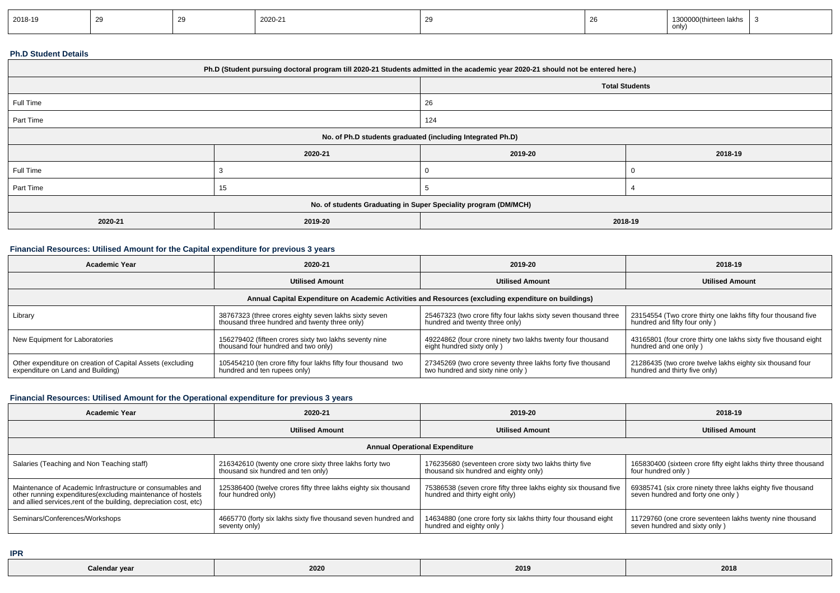| 2018-19 |  | 2020-21 |  | 1300000(thirteen lakhs<br>only) |  |
|---------|--|---------|--|---------------------------------|--|
|         |  |         |  |                                 |  |

#### **Ph.D Student Details**

| Ph.D (Student pursuing doctoral program till 2020-21 Students admitted in the academic year 2020-21 should not be entered here.) |         |                       |         |  |  |
|----------------------------------------------------------------------------------------------------------------------------------|---------|-----------------------|---------|--|--|
|                                                                                                                                  |         | <b>Total Students</b> |         |  |  |
| Full Time                                                                                                                        |         | 26                    |         |  |  |
| Part Time                                                                                                                        |         | 124                   |         |  |  |
| No. of Ph.D students graduated (including Integrated Ph.D)                                                                       |         |                       |         |  |  |
|                                                                                                                                  | 2020-21 | 2019-20               | 2018-19 |  |  |
| Full Time                                                                                                                        |         | 0                     |         |  |  |
| Part Time                                                                                                                        | 15      |                       |         |  |  |
| No. of students Graduating in Super Speciality program (DM/MCH)                                                                  |         |                       |         |  |  |
| 2020-21                                                                                                                          | 2019-20 | 2018-19               |         |  |  |

### **Financial Resources: Utilised Amount for the Capital expenditure for previous 3 years**

| <b>Academic Year</b>                                                                                 | 2020-21                                                       | 2019-20                                                         | 2018-19                                                         |  |  |  |  |
|------------------------------------------------------------------------------------------------------|---------------------------------------------------------------|-----------------------------------------------------------------|-----------------------------------------------------------------|--|--|--|--|
|                                                                                                      | <b>Utilised Amount</b>                                        | <b>Utilised Amount</b>                                          | <b>Utilised Amount</b>                                          |  |  |  |  |
| Annual Capital Expenditure on Academic Activities and Resources (excluding expenditure on buildings) |                                                               |                                                                 |                                                                 |  |  |  |  |
| Library                                                                                              | 38767323 (three crores eighty seven lakhs sixty seven         | 25467323 (two crore fifty four lakhs sixty seven thousand three | 23154554 (Two crore thirty one lakhs fifty four thousand five   |  |  |  |  |
|                                                                                                      | thousand three hundred and twenty three only)                 | hundred and twenty three only)                                  | hundred and fifty four only)                                    |  |  |  |  |
| New Equipment for Laboratories                                                                       | 156279402 (fifteen crores sixty two lakhs seventy nine        | 49224862 (four crore ninety two lakhs twenty four thousand      | 43165801 (four crore thirty one lakhs sixty five thousand eight |  |  |  |  |
|                                                                                                      | thousand four hundred and two only)                           | eight hundred sixty only)                                       | hundred and one only)                                           |  |  |  |  |
| Other expenditure on creation of Capital Assets (excluding                                           | 105454210 (ten crore fifty four lakhs fifty four thousand two | 27345269 (two crore seventy three lakhs forty five thousand     | 21286435 (two crore twelve lakhs eighty six thousand four       |  |  |  |  |
| expenditure on Land and Building)                                                                    | hundred and ten rupees only)                                  | two hundred and sixty nine only)                                | hundred and thirty five only)                                   |  |  |  |  |

### **Financial Resources: Utilised Amount for the Operational expenditure for previous 3 years**

| <b>Academic Year</b>                                                                                                                                                                            | 2020-21                                                                                       | 2019-20                                                                                            | 2018-19                                                                                          |  |  |  |  |
|-------------------------------------------------------------------------------------------------------------------------------------------------------------------------------------------------|-----------------------------------------------------------------------------------------------|----------------------------------------------------------------------------------------------------|--------------------------------------------------------------------------------------------------|--|--|--|--|
|                                                                                                                                                                                                 | <b>Utilised Amount</b>                                                                        | <b>Utilised Amount</b>                                                                             | <b>Utilised Amount</b>                                                                           |  |  |  |  |
| <b>Annual Operational Expenditure</b>                                                                                                                                                           |                                                                                               |                                                                                                    |                                                                                                  |  |  |  |  |
| Salaries (Teaching and Non Teaching staff)                                                                                                                                                      | 216342610 (twenty one crore sixty three lakhs forty two<br>thousand six hundred and ten only) | 176235680 (seventeen crore sixty two lakhs thirty five<br>thousand six hundred and eighty only)    | 165830400 (sixteen crore fifty eight lakhs thirty three thousand<br>four hundred only)           |  |  |  |  |
| Maintenance of Academic Infrastructure or consumables and<br>other running expenditures (excluding maintenance of hostels<br>and allied services, rent of the building, depreciation cost, etc) | 125386400 (twelve crores fifty three lakhs eighty six thousand<br>four hundred only)          | 75386538 (seven crore fifty three lakhs eighty six thousand five<br>hundred and thirty eight only) | 69385741 (six crore ninety three lakhs eighty five thousand<br>seven hundred and forty one only) |  |  |  |  |
| Seminars/Conferences/Workshops                                                                                                                                                                  | 4665770 (forty six lakhs sixty five thousand seven hundred and<br>seventy only)               | 14634880 (one crore forty six lakhs thirty four thousand eight<br>hundred and eighty only )        | 11729760 (one crore seventeen lakhs twenty nine thousand<br>seven hundred and sixty only)        |  |  |  |  |

**IPR**

| $-0.05$<br>Calendar year<br>ZUZI | 2019 | 2018 |
|----------------------------------|------|------|
|----------------------------------|------|------|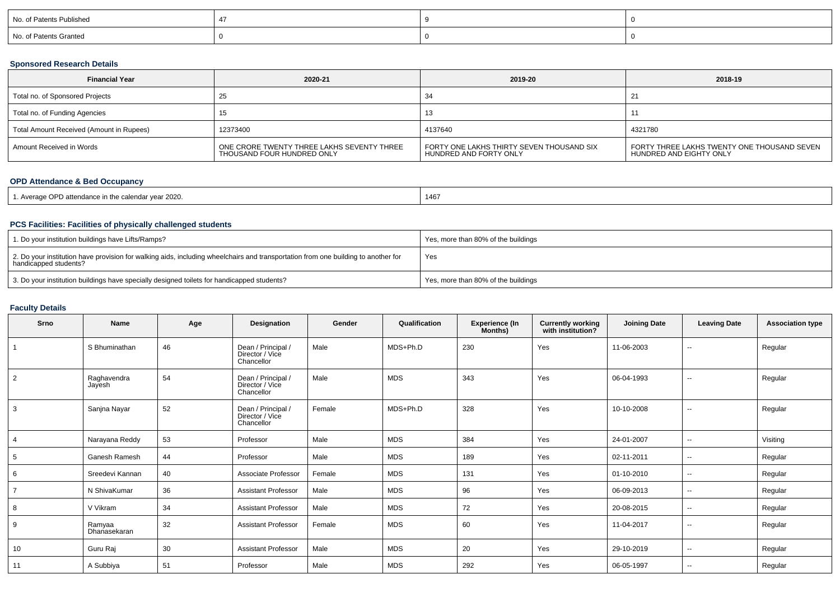| No. of Patents Published |  |  |
|--------------------------|--|--|
| No. of Patents Granted   |  |  |

### **Sponsored Research Details**

| <b>Financial Year</b>                    | 2020-21                                                                  | 2019-20                                                             | 2018-19                                                                |
|------------------------------------------|--------------------------------------------------------------------------|---------------------------------------------------------------------|------------------------------------------------------------------------|
| Total no. of Sponsored Projects          | ∠ລ                                                                       | 34                                                                  |                                                                        |
| Total no. of Funding Agencies            |                                                                          | 13                                                                  |                                                                        |
| Total Amount Received (Amount in Rupees) | 12373400                                                                 | 4137640                                                             | 4321780                                                                |
| Amount Received in Words                 | ONE CRORE TWENTY THREE LAKHS SEVENTY THREE<br>THOUSAND FOUR HUNDRED ONLY | FORTY ONE LAKHS THIRTY SEVEN THOUSAND SIX<br>HUNDRED AND FORTY ONLY | FORTY THREE LAKHS TWENTY ONE THOUSAND SEVEN<br>HUNDRED AND EIGHTY ONLY |

### **OPD Attendance & Bed Occupancy**

| . Average OPD attendance in the calendar year 2020. | 1467 |
|-----------------------------------------------------|------|
|-----------------------------------------------------|------|

### **PCS Facilities: Facilities of physically challenged students**

| 1. Do your institution buildings have Lifts/Ramps?                                                                                                         | Yes, more than 80% of the buildings |
|------------------------------------------------------------------------------------------------------------------------------------------------------------|-------------------------------------|
| 2. Do your institution have provision for walking aids, including wheelchairs and transportation from one building to another for<br>handicapped students? | Yes                                 |
| 3. Do your institution buildings have specially designed toilets for handicapped students?                                                                 | Yes, more than 80% of the buildings |

## **Faculty Details**

| Srno           | Name                   | Age | Designation                                         | Gender | Qualification | <b>Experience (In</b><br>Months) | <b>Currently working</b><br>with institution? | <b>Joining Date</b> | <b>Leaving Date</b>      | <b>Association type</b> |
|----------------|------------------------|-----|-----------------------------------------------------|--------|---------------|----------------------------------|-----------------------------------------------|---------------------|--------------------------|-------------------------|
|                | S Bhuminathan          | 46  | Dean / Principal /<br>Director / Vice<br>Chancellor | Male   | MDS+Ph.D      | 230                              | Yes                                           | 11-06-2003          | $\overline{\phantom{a}}$ | Regular                 |
| $\overline{2}$ | Raghavendra<br>Jayesh  | 54  | Dean / Principal /<br>Director / Vice<br>Chancellor | Male   | <b>MDS</b>    | 343                              | Yes                                           | 06-04-1993          | $\overline{\phantom{a}}$ | Regular                 |
| 3              | Sanjna Nayar           | 52  | Dean / Principal /<br>Director / Vice<br>Chancellor | Female | MDS+Ph.D      | 328                              | Yes                                           | 10-10-2008          | $\overline{\phantom{a}}$ | Regular                 |
|                | Narayana Reddy         | 53  | Professor                                           | Male   | <b>MDS</b>    | 384                              | Yes                                           | 24-01-2007          | $\sim$                   | Visiting                |
| 5              | Ganesh Ramesh          | 44  | Professor                                           | Male   | <b>MDS</b>    | 189                              | Yes                                           | 02-11-2011          | $\sim$                   | Regular                 |
| 6              | Sreedevi Kannan        | 40  | Associate Professor                                 | Female | <b>MDS</b>    | 131                              | Yes                                           | 01-10-2010          | $\sim$                   | Regular                 |
|                | N ShivaKumar           | 36  | <b>Assistant Professor</b>                          | Male   | <b>MDS</b>    | 96                               | Yes                                           | 06-09-2013          | $\sim$                   | Regular                 |
| 8              | V Vikram               | 34  | Assistant Professor                                 | Male   | <b>MDS</b>    | 72                               | Yes                                           | 20-08-2015          | $\sim$                   | Regular                 |
| 9              | Ramyaa<br>Dhanasekaran | 32  | <b>Assistant Professor</b>                          | Female | <b>MDS</b>    | 60                               | Yes                                           | 11-04-2017          | $\sim$                   | Regular                 |
| 10             | Guru Raj               | 30  | <b>Assistant Professor</b>                          | Male   | <b>MDS</b>    | 20                               | Yes                                           | 29-10-2019          | $\sim$                   | Regular                 |
| 11             | A Subbiya              | 51  | Professor                                           | Male   | <b>MDS</b>    | 292                              | Yes                                           | 06-05-1997          | $\overline{\phantom{a}}$ | Regular                 |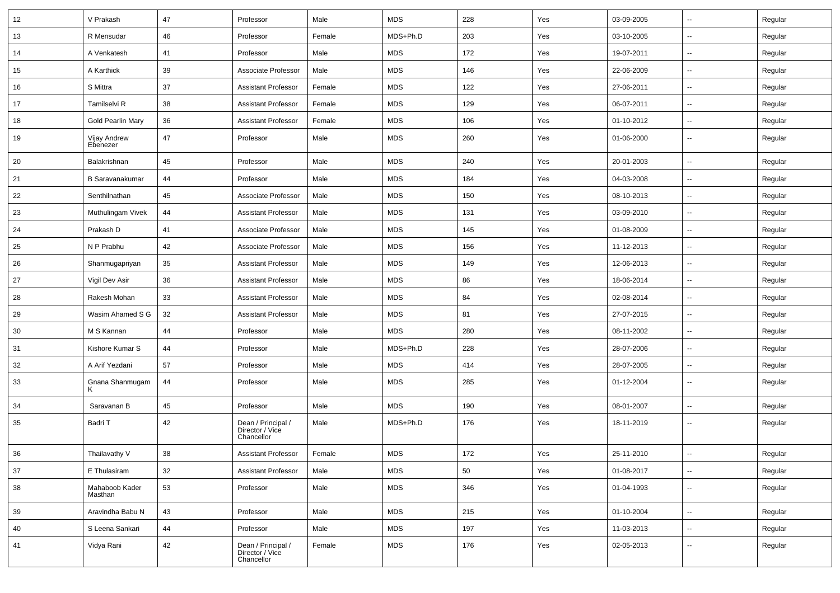| 12 | V Prakash                 | 47 | Professor                                           | Male   | <b>MDS</b> | 228 | Yes | 03-09-2005 | $\sim$                   | Regular |
|----|---------------------------|----|-----------------------------------------------------|--------|------------|-----|-----|------------|--------------------------|---------|
| 13 | R Mensudar                | 46 | Professor                                           | Female | MDS+Ph.D   | 203 | Yes | 03-10-2005 | -−                       | Regular |
| 14 | A Venkatesh               | 41 | Professor                                           | Male   | <b>MDS</b> | 172 | Yes | 19-07-2011 | ⊷.                       | Regular |
| 15 | A Karthick                | 39 | Associate Professor                                 | Male   | <b>MDS</b> | 146 | Yes | 22-06-2009 | --                       | Regular |
| 16 | S Mittra                  | 37 | <b>Assistant Professor</b>                          | Female | <b>MDS</b> | 122 | Yes | 27-06-2011 | -−                       | Regular |
| 17 | Tamilselvi R              | 38 | <b>Assistant Professor</b>                          | Female | <b>MDS</b> | 129 | Yes | 06-07-2011 | $\sim$                   | Regular |
| 18 | Gold Pearlin Mary         | 36 | <b>Assistant Professor</b>                          | Female | MDS        | 106 | Yes | 01-10-2012 | $\sim$                   | Regular |
| 19 | Vijay Andrew<br>Ebenezer  | 47 | Professor                                           | Male   | <b>MDS</b> | 260 | Yes | 01-06-2000 | $\sim$                   | Regular |
| 20 | Balakrishnan              | 45 | Professor                                           | Male   | <b>MDS</b> | 240 | Yes | 20-01-2003 | −−                       | Regular |
| 21 | <b>B</b> Saravanakumar    | 44 | Professor                                           | Male   | <b>MDS</b> | 184 | Yes | 04-03-2008 | $\sim$                   | Regular |
| 22 | Senthilnathan             | 45 | Associate Professor                                 | Male   | <b>MDS</b> | 150 | Yes | 08-10-2013 | --                       | Regular |
| 23 | Muthulingam Vivek         | 44 | <b>Assistant Professor</b>                          | Male   | <b>MDS</b> | 131 | Yes | 03-09-2010 | -−                       | Regular |
| 24 | Prakash D                 | 41 | Associate Professor                                 | Male   | MDS        | 145 | Yes | 01-08-2009 | Ξ.                       | Regular |
| 25 | N P Prabhu                | 42 | Associate Professor                                 | Male   | MDS        | 156 | Yes | 11-12-2013 | ⊷.                       | Regular |
| 26 | Shanmugapriyan            | 35 | <b>Assistant Professor</b>                          | Male   | MDS        | 149 | Yes | 12-06-2013 | н.                       | Regular |
| 27 | Vigil Dev Asir            | 36 | <b>Assistant Professor</b>                          | Male   | <b>MDS</b> | 86  | Yes | 18-06-2014 | $\sim$                   | Regular |
| 28 | Rakesh Mohan              | 33 | <b>Assistant Professor</b>                          | Male   | <b>MDS</b> | 84  | Yes | 02-08-2014 | --                       | Regular |
| 29 | Wasim Ahamed S G          | 32 | <b>Assistant Professor</b>                          | Male   | <b>MDS</b> | 81  | Yes | 27-07-2015 | -−                       | Regular |
| 30 | M S Kannan                | 44 | Professor                                           | Male   | <b>MDS</b> | 280 | Yes | 08-11-2002 | $\sim$                   | Regular |
| 31 | Kishore Kumar S           | 44 | Professor                                           | Male   | MDS+Ph.D   | 228 | Yes | 28-07-2006 | $\overline{\phantom{a}}$ | Regular |
| 32 | A Arif Yezdani            | 57 | Professor                                           | Male   | MDS        | 414 | Yes | 28-07-2005 | -−                       | Regular |
| 33 | Gnana Shanmugam           | 44 | Professor                                           | Male   | <b>MDS</b> | 285 | Yes | 01-12-2004 | $\overline{\phantom{a}}$ | Regular |
| 34 | Saravanan B               | 45 | Professor                                           | Male   | <b>MDS</b> | 190 | Yes | 08-01-2007 | $\overline{\phantom{a}}$ | Regular |
| 35 | Badri T                   | 42 | Dean / Principal /<br>Director / Vice<br>Chancellor | Male   | MDS+Ph.D   | 176 | Yes | 18-11-2019 | --                       | Regular |
| 36 | Thailavathy V             | 38 | <b>Assistant Professor</b>                          | Female | <b>MDS</b> | 172 | Yes | 25-11-2010 | $\sim$                   | Regular |
| 37 | E Thulasiram              | 32 | <b>Assistant Professor</b>                          | Male   | MDS        | 50  | Yes | 01-08-2017 | $\overline{\phantom{a}}$ | Regular |
| 38 | Mahaboob Kader<br>Masthan | 53 | Professor                                           | Male   | <b>MDS</b> | 346 | Yes | 01-04-1993 | -−                       | Regular |
| 39 | Aravindha Babu N          | 43 | Professor                                           | Male   | <b>MDS</b> | 215 | Yes | 01-10-2004 | ш.                       | Regular |
| 40 | S Leena Sankari           | 44 | Professor                                           | Male   | <b>MDS</b> | 197 | Yes | 11-03-2013 | ш.                       | Regular |
| 41 | Vidya Rani                | 42 | Dean / Principal /<br>Director / Vice<br>Chancellor | Female | MDS        | 176 | Yes | 02-05-2013 | $\overline{\phantom{a}}$ | Regular |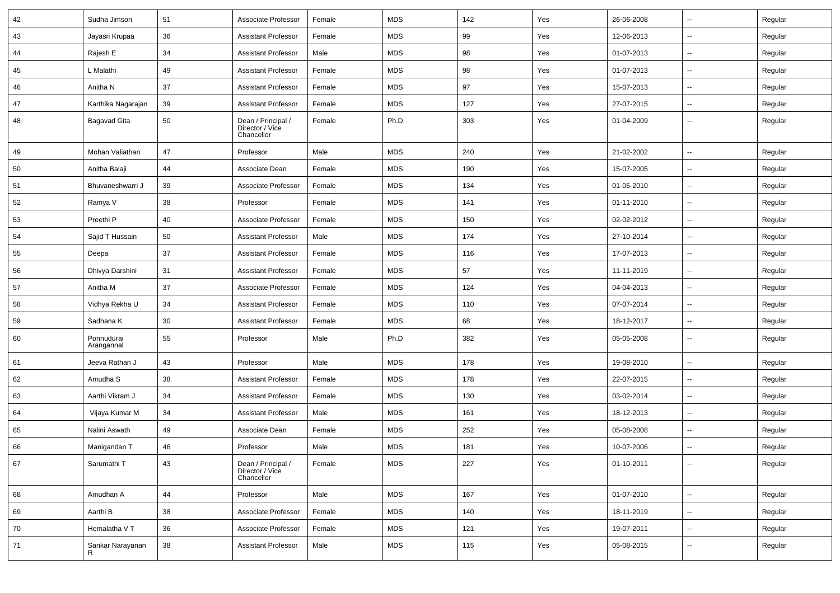| 42 | Sudha Jimson             | 51 | Associate Professor                                 | Female | <b>MDS</b> | 142 | Yes | 26-06-2008 | --                       | Regular |
|----|--------------------------|----|-----------------------------------------------------|--------|------------|-----|-----|------------|--------------------------|---------|
| 43 | Jayasri Krupaa           | 36 | <b>Assistant Professor</b>                          | Female | <b>MDS</b> | 99  | Yes | 12-06-2013 | --                       | Regular |
| 44 | Rajesh E                 | 34 | <b>Assistant Professor</b>                          | Male   | <b>MDS</b> | 98  | Yes | 01-07-2013 | $\overline{\phantom{a}}$ | Regular |
| 45 | L Malathi                | 49 | Assistant Professor                                 | Female | <b>MDS</b> | 98  | Yes | 01-07-2013 | --                       | Regular |
| 46 | Anitha N                 | 37 | Assistant Professor                                 | Female | <b>MDS</b> | 97  | Yes | 15-07-2013 | --                       | Regular |
| 47 | Karthika Nagarajan       | 39 | <b>Assistant Professor</b>                          | Female | <b>MDS</b> | 127 | Yes | 27-07-2015 | $\overline{\phantom{a}}$ | Regular |
| 48 | Bagavad Gita             | 50 | Dean / Principal /<br>Director / Vice<br>Chancellor | Female | Ph.D       | 303 | Yes | 01-04-2009 | --                       | Regular |
| 49 | Mohan Valiathan          | 47 | Professor                                           | Male   | <b>MDS</b> | 240 | Yes | 21-02-2002 | $\overline{\phantom{a}}$ | Regular |
| 50 | Anitha Balaji            | 44 | Associate Dean                                      | Female | <b>MDS</b> | 190 | Yes | 15-07-2005 | $\overline{\phantom{a}}$ | Regular |
| 51 | Bhuvaneshwarri J         | 39 | Associate Professor                                 | Female | <b>MDS</b> | 134 | Yes | 01-06-2010 | --                       | Regular |
| 52 | Ramya V                  | 38 | Professor                                           | Female | <b>MDS</b> | 141 | Yes | 01-11-2010 | $\overline{\phantom{a}}$ | Regular |
| 53 | Preethi <sub>P</sub>     | 40 | Associate Professor                                 | Female | <b>MDS</b> | 150 | Yes | 02-02-2012 | --                       | Regular |
| 54 | Sajid T Hussain          | 50 | Assistant Professor                                 | Male   | <b>MDS</b> | 174 | Yes | 27-10-2014 | --                       | Regular |
| 55 | Deepa                    | 37 | <b>Assistant Professor</b>                          | Female | <b>MDS</b> | 116 | Yes | 17-07-2013 | $\overline{\phantom{a}}$ | Regular |
| 56 | Dhivya Darshini          | 31 | Assistant Professor                                 | Female | <b>MDS</b> | 57  | Yes | 11-11-2019 | --                       | Regular |
| 57 | Anitha M                 | 37 | Associate Professor                                 | Female | <b>MDS</b> | 124 | Yes | 04-04-2013 | Ξ.                       | Regular |
| 58 | Vidhya Rekha U           | 34 | Assistant Professor                                 | Female | <b>MDS</b> | 110 | Yes | 07-07-2014 | $\sim$                   | Regular |
| 59 | Sadhana K                | 30 | Assistant Professor                                 | Female | <b>MDS</b> | 68  | Yes | 18-12-2017 | --                       | Regular |
| 60 | Ponnudurai<br>Arangannal | 55 | Professor                                           | Male   | Ph.D       | 382 | Yes | 05-05-2008 | --                       | Regular |
| 61 | Jeeva Rathan J           | 43 | Professor                                           | Male   | <b>MDS</b> | 178 | Yes | 19-08-2010 | Ξ.                       | Regular |
| 62 | Amudha <sub>S</sub>      | 38 | Assistant Professor                                 | Female | <b>MDS</b> | 178 | Yes | 22-07-2015 | $\overline{\phantom{a}}$ | Regular |
| 63 | Aarthi Vikram J          | 34 | <b>Assistant Professor</b>                          | Female | <b>MDS</b> | 130 | Yes | 03-02-2014 | $\overline{\phantom{a}}$ | Regular |
| 64 | Vijaya Kumar M           | 34 | Assistant Professor                                 | Male   | <b>MDS</b> | 161 | Yes | 18-12-2013 | --                       | Regular |
| 65 | Nalini Aswath            | 49 | Associate Dean                                      | Female | <b>MDS</b> | 252 | Yes | 05-08-2008 | u.                       | Regular |
| 66 | Manigandan T             | 46 | Professor                                           | Male   | <b>MDS</b> | 181 | Yes | 10-07-2006 |                          | Regular |
| 67 | Sarumathi T              | 43 | Dean / Principal /<br>Director / Vice<br>Chancellor | Female | <b>MDS</b> | 227 | Yes | 01-10-2011 | Ξ.                       | Regular |
| 68 | Amudhan A                | 44 | Professor                                           | Male   | <b>MDS</b> | 167 | Yes | 01-07-2010 | Ξ.                       | Regular |
| 69 | Aarthi B                 | 38 | Associate Professor                                 | Female | <b>MDS</b> | 140 | Yes | 18-11-2019 | Ξ.                       | Regular |
| 70 | Hemalatha V T            | 36 | Associate Professor                                 | Female | <b>MDS</b> | 121 | Yes | 19-07-2011 | Ξ.                       | Regular |
| 71 | Sankar Narayanan<br>R    | 38 | <b>Assistant Professor</b>                          | Male   | MDS        | 115 | Yes | 05-08-2015 | $\overline{\phantom{a}}$ | Regular |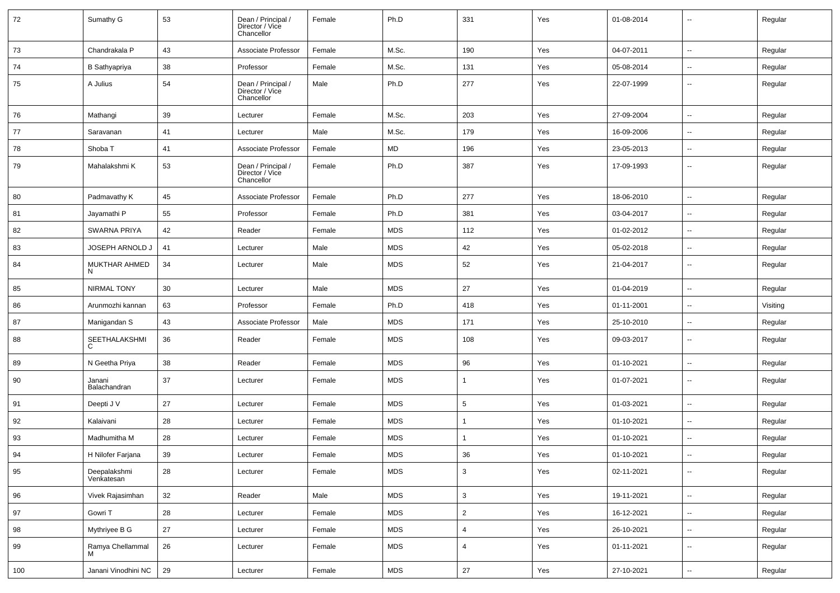| 72  | Sumathy G                  | 53 | Dean / Principal /<br>Director / Vice<br>Chancellor | Female | Ph.D       | 331             | Yes | 01-08-2014 | --                       | Regular  |
|-----|----------------------------|----|-----------------------------------------------------|--------|------------|-----------------|-----|------------|--------------------------|----------|
| 73  | Chandrakala P              | 43 | Associate Professor                                 | Female | M.Sc.      | 190             | Yes | 04-07-2011 | $\overline{\phantom{a}}$ | Regular  |
| 74  | <b>B</b> Sathyapriya       | 38 | Professor                                           | Female | M.Sc.      | 131             | Yes | 05-08-2014 | $\overline{\phantom{a}}$ | Regular  |
| 75  | A Julius                   | 54 | Dean / Principal /<br>Director / Vice<br>Chancellor | Male   | Ph.D       | 277             | Yes | 22-07-1999 | $\overline{\phantom{a}}$ | Regular  |
| 76  | Mathangi                   | 39 | Lecturer                                            | Female | M.Sc.      | 203             | Yes | 27-09-2004 | $\overline{\phantom{a}}$ | Regular  |
| 77  | Saravanan                  | 41 | Lecturer                                            | Male   | M.Sc.      | 179             | Yes | 16-09-2006 | --                       | Regular  |
| 78  | Shoba T                    | 41 | Associate Professor                                 | Female | MD         | 196             | Yes | 23-05-2013 | $\overline{\phantom{a}}$ | Regular  |
| 79  | Mahalakshmi K              | 53 | Dean / Principal /<br>Director / Vice<br>Chancellor | Female | Ph.D       | 387             | Yes | 17-09-1993 | --                       | Regular  |
| 80  | Padmavathy K               | 45 | Associate Professor                                 | Female | Ph.D       | 277             | Yes | 18-06-2010 | $\overline{\phantom{a}}$ | Regular  |
| 81  | Jayamathi P                | 55 | Professor                                           | Female | Ph.D       | 381             | Yes | 03-04-2017 | --                       | Regular  |
| 82  | <b>SWARNA PRIYA</b>        | 42 | Reader                                              | Female | <b>MDS</b> | 112             | Yes | 01-02-2012 | $\overline{\phantom{a}}$ | Regular  |
| 83  | JOSEPH ARNOLD J            | 41 | Lecturer                                            | Male   | <b>MDS</b> | 42              | Yes | 05-02-2018 | $\overline{\phantom{a}}$ | Regular  |
| 84  | MUKTHAR AHMED<br>N.        | 34 | Lecturer                                            | Male   | <b>MDS</b> | 52              | Yes | 21-04-2017 | $\overline{\phantom{a}}$ | Regular  |
| 85  | <b>NIRMAL TONY</b>         | 30 | Lecturer                                            | Male   | <b>MDS</b> | 27              | Yes | 01-04-2019 | $\overline{\phantom{a}}$ | Regular  |
| 86  | Arunmozhi kannan           | 63 | Professor                                           | Female | Ph.D       | 418             | Yes | 01-11-2001 | --                       | Visiting |
| 87  | Manigandan S               | 43 | Associate Professor                                 | Male   | MDS        | 171             | Yes | 25-10-2010 | $\sim$                   | Regular  |
| 88  | SEETHALAKSHMI<br>C         | 36 | Reader                                              | Female | <b>MDS</b> | 108             | Yes | 09-03-2017 | ۰.                       | Regular  |
| 89  | N Geetha Priya             | 38 | Reader                                              | Female | <b>MDS</b> | 96              | Yes | 01-10-2021 | --                       | Regular  |
| 90  | Janani<br>Balachandran     | 37 | Lecturer                                            | Female | <b>MDS</b> | $\mathbf 1$     | Yes | 01-07-2021 | $\overline{\phantom{a}}$ | Regular  |
| 91  | Deepti J V                 | 27 | Lecturer                                            | Female | <b>MDS</b> | $5\phantom{.0}$ | Yes | 01-03-2021 | --                       | Regular  |
| 92  | Kalaivani                  | 28 | Lecturer                                            | Female | <b>MDS</b> | $\mathbf{1}$    | Yes | 01-10-2021 | $\overline{\phantom{a}}$ | Regular  |
| 93  | Madhumitha M               | 28 | Lecturer                                            | Female | <b>MDS</b> |                 | Yes | 01-10-2021 | --                       | Regular  |
| 94  | H Nilofer Farjana          | 39 | Lecturer                                            | Female | <b>MDS</b> | 36              | Yes | 01-10-2021 | $\overline{\phantom{a}}$ | Regular  |
| 95  | Deepalakshmi<br>Venkatesan | 28 | Lecturer                                            | Female | <b>MDS</b> | $\mathbf{3}$    | Yes | 02-11-2021 | Ξ.                       | Regular  |
| 96  | Vivek Rajasimhan           | 32 | Reader                                              | Male   | <b>MDS</b> | $\mathbf{3}$    | Yes | 19-11-2021 | $\overline{\phantom{a}}$ | Regular  |
| 97  | Gowri T                    | 28 | Lecturer                                            | Female | <b>MDS</b> | $\overline{2}$  | Yes | 16-12-2021 | ۰.                       | Regular  |
| 98  | Mythriyee B G              | 27 | Lecturer                                            | Female | <b>MDS</b> | $\overline{4}$  | Yes | 26-10-2021 | Ξ.                       | Regular  |
| 99  | Ramya Chellammal<br>м      | 26 | Lecturer                                            | Female | <b>MDS</b> | $\overline{4}$  | Yes | 01-11-2021 | $\sim$                   | Regular  |
| 100 | Janani Vinodhini NC        | 29 | Lecturer                                            | Female | <b>MDS</b> | 27              | Yes | 27-10-2021 | Щ,                       | Regular  |